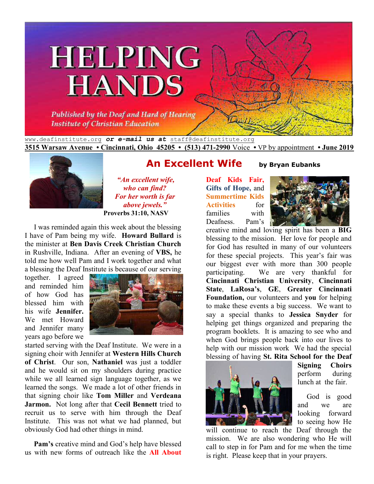# **HELPING HANDS**

Published by the Deaf and Hard of Hearing **Institute of Christian Education** 

www.deafinstitute.org *or e-mail us at* staff@deafinstitute.org **3515 Warsaw Avenue • Cincinnati, Ohio 45205 • (513) 471-2990** Voice **•** VP by appointment **• June 2019**



 *"An excellent wife, who can find? For her worth is far above jewels."* **Proverbs 31:10, NASV** 

 I was reminded again this week about the blessing I have of Pam being my wife. **Howard Bullard** is the minister at **Ben Davis Creek Christian Church** in Rushville, Indiana. After an evening of **VBS,** he told me how well Pam and I work together and what a blessing the Deaf Institute is because of our serving

together. I agreed and reminded him of how God has blessed him with his wife **Jennifer.** We met Howard and Jennifer many years ago before we



started serving with the Deaf Institute. We were in a signing choir with Jennifer at **Western Hills Church of Christ**. Our son, **Nathaniel** was just a toddler and he would sit on my shoulders during practice while we all learned sign language together, as we learned the songs. We made a lot of other friends in that signing choir like **Tom Miller** and **Verdeana Jarmon.** Not long after that **Cecil Bennett** tried to recruit us to serve with him through the Deaf Institute. This was not what we had planned, but obviously God had other things in mind.

**Pam's** creative mind and God's help have blessed us with new forms of outreach like the **All About** 

### **An Excellent Wife** by Bryan Eubanks

**Deaf Kids Fair, Gifts of Hope,** and **Summertime Kids Activities** for families with Deafness. Pam's



creative mind and loving spirit has been a **BIG**  blessing to the mission. Her love for people and for God has resulted in many of our volunteers for these special projects. This year's fair was our biggest ever with more than 300 people participating. We are very thankful for **Cincinnati Christian University**, **Cincinnati State**, **LaRosa's**, **GE**, **Greater Cincinnati Foundation,** our volunteers and **you** for helping to make these events a big success. We want to say a special thanks to **Jessica Snyder** for helping get things organized and preparing the program booklets. It is amazing to see who and when God brings people back into our lives to help with our mission work We had the special blessing of having **St. Rita School for the Deaf** 



**Signing Choirs** perform during lunch at the fair.

 God is good and we are looking forward to seeing how He

will continue to reach the Deaf through the mission. We are also wondering who He will call to step in for Pam and for me when the time is right. Please keep that in your prayers.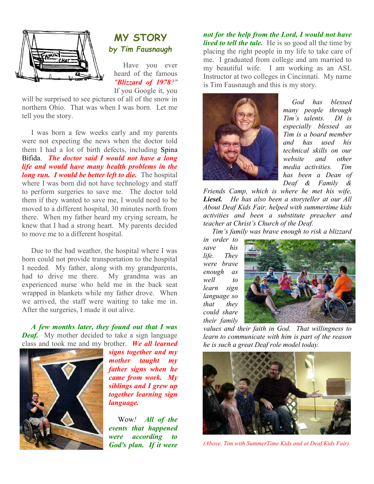



 Have you ever heard of the famous *"Blizzard of 1978?"*

If you Google it, you

will be surprised to see pictures of all of the snow in northern Ohio. That was when I was born. Let me tell you the story.

 I was born a few weeks early and my parents were not expecting the news when the doctor told them I had a lot of birth defects, including Spina Bifida. *The doctor said I would not have a long life and would have many health problems in the long run. I would be better left to die.* The hospital where I was born did not have technology and staff to perform surgeries to save me. The doctor told them if they wanted to save me, I would need to be moved to a different hospital, 30 minutes north from there. When my father heard my crying scream, he knew that I had a strong heart. My parents decided to move me to a different hospital.

 Due to the bad weather, the hospital where I was born could not provide transportation to the hospital I needed. My father, along with my grandparents, had to drive me there. My grandma was an experienced nurse who held me in the back seat wrapped in blankets while my father drove. When we arrived, the staff were waiting to take me in. After the surgeries, I made it out alive.

*A few months later, they found out that I was Deaf.* My mother decided to take a sign language class and took me and my brother. *We all learned* 



*signs together and my mother taught my father signs when he came from work. My siblings and I grew up together learning sign language.* 

 Wow*! All of the events that happened were according to God's plan. If it were* 

*not for the help from the Lord, I would not have lived to tell the tale.* He is so good all the time by placing the right people in my life to take care of me. I graduated from college and am married to my beautiful wife. I am working as an ASL Instructor at two colleges in Cincinnati. My name is Tim Fausnaugh and this is my story.



 *God has blessed many people through Tim's talents. DI is especially blessed as Tim is a board member and has used his technical skills on our website and other media activities. Tim has been a Dean of Deaf & Family &* 

*Friends Camp, which is where he met his wife, Liesel. He has also been a storyteller at our All About Deaf Kids Fair, helped with summertime kids activities and been a substitute preacher and teacher at Christ's Church of the Deaf.* 

 *Tim's family was brave enough to risk a blizzard* 

*in order to save his life. They were brave enough as well to learn sign language so that they could share their family* 



*values and their faith in God. That willingness to learn to communicate with him is part of the reason he is such a great Deaf role model today.* 



*(Above, Tim with SummerTime Kids and at Deaf Kids Fair)*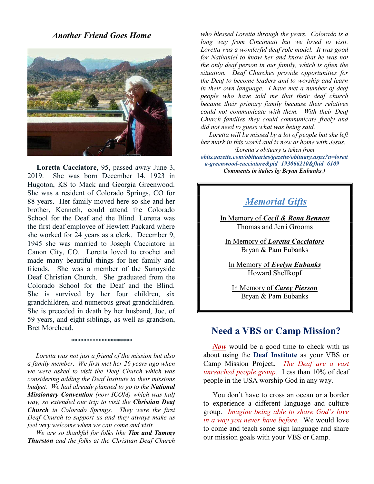*Another Friend Goes Home*



**Loretta Cacciatore**, 95, passed away June 3, 2019. She was born December 14, 1923 in Hugoton, KS to Mack and Georgia Greenwood. She was a resident of Colorado Springs, CO for 88 years. Her family moved here so she and her brother, Kenneth, could attend the Colorado School for the Deaf and the Blind. Loretta was the first deaf employee of Hewlett Packard where she worked for 24 years as a clerk. December 9, 1945 she was married to Joseph Cacciatore in Canon City, CO. Loretta loved to crochet and made many beautiful things for her family and friends. She was a member of the Sunnyside Deaf Christian Church. She graduated from the Colorado School for the Deaf and the Blind. She is survived by her four children, six grandchildren, and numerous great grandchildren. She is preceded in death by her husband, Joe, of 59 years, and eight siblings, as well as grandson, Bret Morehead.

#### *\*\*\*\*\*\*\*\*\*\*\*\*\*\*\*\*\*\*\*\**

 *Loretta was not just a friend of the mission but also a family member. We first met her 26 years ago when we were asked to visit the Deaf Church which was considering adding the Deaf Institute to their missions budget. We had already planned to go to the National Missionary Convention (now ICOM) which was half way, so extended our trip to visit the Christian Deaf Church in Colorado Springs. They were the first Deaf Church to support us and they always make us feel very welcome when we can come and visit.* 

 *We are so thankful for folks like Tim and Tammy Thurston and the folks at the Christian Deaf Church*  *who blessed Loretta through the years. Colorado is a long way from Cincinnati but we loved to visit. Loretta was a wonderful deaf role model. It was good for Nathaniel to know her and know that he was not the only deaf person in our family, which is often the situation. Deaf Churches provide opportunities for the Deaf to become leaders and to worship and learn in their own language. I have met a number of deaf people who have told me that their deaf church became their primary family because their relatives could not communicate with them. With their Deaf Church families they could communicate freely and did not need to guess what was being said.* 

*Loretta will be missed by a lot of people but she left her mark in this world and is now at home with Jesus. (Loretta's obituary is taken from* 

*obits.gazette.com/obituaries/gazette/obituary.aspx?n=lorett a-greenwood-cacciatore&pid=193066210&fhid=6109 Comments in italics by Bryan Eubanks.)*

#### *Memorial Gifts*

In Memory of *Cecil & Rena Bennett* Thomas and Jerri Grooms

In Memory of *Loretta Cacciatore* Bryan & Pam Eubanks

In Memory of *Evelyn Eubanks* Howard Shellkopf

In Memory of *Carey Pierson* Bryan & Pam Eubanks

#### **Need a VBS or Camp Mission?**

*Now* would be a good time to check with us about using the **Deaf Institute** as your VBS or Camp Mission Project**.** *The Deaf are a vast unreached people group.* Less than 10% of deaf people in the USA worship God in any way.

 You don't have to cross an ocean or a border to experience a different language and culture group. *Imagine being able to share God's love in a way you never have before.* We would love to come and teach some sign language and share our mission goals with your VBS or Camp.